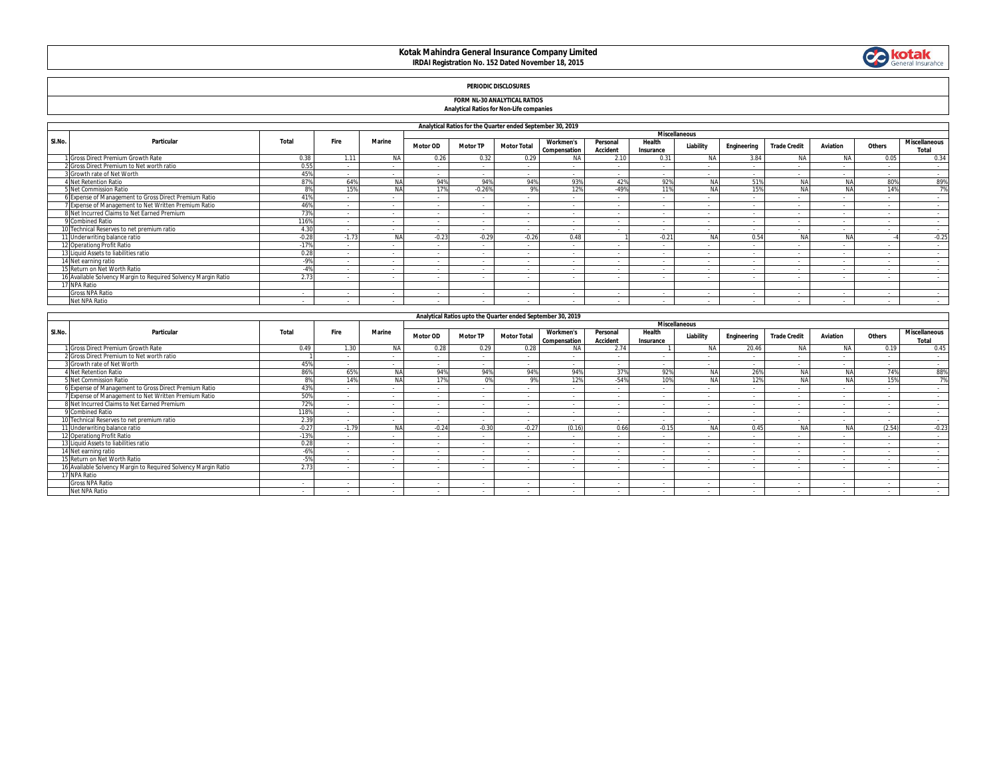# **Kotak Mahindra General Insurance Company Limited IRDAI Registration No. 152 Dated November 18, 2015**



## **PERIODIC DISCLOSURES**

### **FORM NL-30 ANALYTICAL RATIOS**

#### **Analytical Ratios for Non-Life companies**

|        | Analytical Ratios for the Quarter ended September 30, 2019     |                |         |           |                      |                          |                    |                                  |                             |                          |           |                          |                     |           |                          |                               |
|--------|----------------------------------------------------------------|----------------|---------|-----------|----------------------|--------------------------|--------------------|----------------------------------|-----------------------------|--------------------------|-----------|--------------------------|---------------------|-----------|--------------------------|-------------------------------|
|        |                                                                |                |         |           | <b>Miscellaneous</b> |                          |                    |                                  |                             |                          |           |                          |                     |           |                          |                               |
| SI.No. | Particular                                                     | Total          | Fire    | Marine    | <b>Motor OD</b>      | <b>Motor TP</b>          | <b>Motor Total</b> | <b>Workmen's</b><br>Compensation | Personal<br><b>Accident</b> | Health<br>Insurance      | Liability | Engineering              | <b>Trade Credit</b> | Aviation  | Others                   | <b>Miscellaneous</b><br>Total |
|        | Gross Direct Premium Growth Rate                               | 0.38           | 1.11    | <b>NA</b> | 0.26                 | 0.32                     | 0.29               | <b>NA</b>                        | 2.10                        | 0.31                     | <b>NA</b> | 3.84                     | <b>NA</b>           | <b>NA</b> | 0.05                     | 0.34                          |
|        | Gross Direct Premium to Net worth ratio                        | 0.55           |         |           | $\sim$               | $\sim$                   |                    |                                  |                             | $\sim$                   |           |                          | - 1                 | $\sim$    | $\overline{\phantom{a}}$ | $\sim$                        |
|        | Growth rate of Net Worth                                       | 45%            |         |           | $\sim$               | $\sim$                   | $\sim$             |                                  |                             |                          |           |                          |                     |           | $\sim$                   | $\sim$                        |
|        | 4 Net Retention Ratio                                          | 87%            | 64%     | <b>NA</b> | 94%                  | 94%                      | 94%                | 93%                              | 42%                         | 92%                      | <b>NA</b> | 51%                      | <b>NA</b>           | <b>NA</b> | 80%                      | 89%                           |
|        | 5 Net Commission Ratio                                         | R <sup>0</sup> | 15%     |           | 17%                  | $-0.26%$                 | 9%                 | 12%                              | -49%                        | 11%                      |           | 15%                      |                     | NA        | 14%                      | 7%                            |
|        | Expense of Management to Gross Direct Premium Ratio            | 41%            |         |           | $\sim$               | $\sim$                   | - 1                |                                  |                             | $\overline{\phantom{a}}$ |           |                          | - 1                 | $\sim$    | $\overline{\phantom{a}}$ | $\sim$                        |
|        | Expense of Management to Net Written Premium Ratio             | 46%            | $\sim$  |           | $\sim$               | $\sim$                   | $\sim$             | $\overline{\phantom{a}}$         | - 1                         | $\sim$                   |           |                          | $\sim$              | $\sim$    | $\sim$                   | $\sim$                        |
|        | 8 Net Incurred Claims to Net Earned Premium                    | 73%            |         |           | $\sim$               | $\sim$                   | $\sim$             | $\sim$                           | $\sim$                      | $\sim$                   |           | $\overline{\phantom{a}}$ | $\sim$              | $\sim$    | $\sim$                   | $\sim$                        |
|        | Combined Ratio                                                 | 116%           |         |           | $\sim$               | $\sim$                   |                    |                                  |                             | $\overline{\phantom{a}}$ |           |                          | - 1                 | $\sim$    |                          | $\sim$                        |
|        | J Technical Reserves to net premium ratio                      | 4.3C           | $\sim$  |           | $\sim$               | $\sim$                   | $\sim$             |                                  |                             | $\overline{\phantom{a}}$ |           |                          | - 1                 | $\sim$    |                          |                               |
|        | 11 Underwriting balance ratio                                  | $-0.28$        | $-1.73$ | NΔ        | $-0.27$              | $-0.29$                  | $-0.26$            | 0.48                             |                             | $-0.21$                  |           | 0.54                     | Nl                  | <b>NA</b> |                          | $-0.25$                       |
|        | 12 Operationg Profit Ratio                                     | $-17%$         |         |           | $\sim$               | $\sim$                   |                    |                                  |                             | $\overline{\phantom{a}}$ |           |                          | ٠.                  |           |                          | $\sim$                        |
|        | 13 Liquid Assets to liabilities ratio                          | 0.28           |         |           | $\sim$               | $\sim$                   |                    |                                  |                             | $\overline{\phantom{a}}$ |           |                          | ٠.                  |           |                          | $\sim$                        |
|        | 14 Net earning ratio                                           | $-9%$          |         |           | $\sim$               | $\sim$                   |                    |                                  |                             |                          |           |                          |                     |           |                          |                               |
|        | 15 Return on Net Worth Ratio                                   | $-4%$          | $\sim$  |           | $\sim$               | $\sim$                   |                    | $\sim$                           | - 1                         | $\sim$                   |           |                          | - 1                 | $\sim$    | $\overline{\phantom{a}}$ | $\sim$                        |
|        | 16 Available Solvency Margin to Required Solvency Margin Ratio | 2.73           |         |           |                      | $\overline{\phantom{a}}$ |                    |                                  |                             |                          |           |                          |                     |           |                          |                               |
|        | 17 NPA Ratio                                                   |                |         |           |                      |                          |                    |                                  |                             |                          |           |                          |                     |           |                          |                               |
|        | <b>Gross NPA Ratio</b>                                         |                |         | . .       | $\sim$               | $\sim$                   |                    |                                  |                             |                          |           |                          |                     |           |                          |                               |
|        | Net NPA Ratio                                                  | $\sim$         |         | $\sim$    | $\sim$               | $\sim$                   |                    | $\sim$                           |                             | $\sim$                   |           |                          | - 1                 | $\sim$    | $\sim$                   | $\sim$                        |

|        | Analytical Ratios upto the Quarter ended September 30, 2019<br><b>Miscellaneous</b> |         |                          |            |                          |                          |                    |                                         |                             |                     |                          |             |                          |                          |        |                               |
|--------|-------------------------------------------------------------------------------------|---------|--------------------------|------------|--------------------------|--------------------------|--------------------|-----------------------------------------|-----------------------------|---------------------|--------------------------|-------------|--------------------------|--------------------------|--------|-------------------------------|
|        |                                                                                     |         |                          |            |                          |                          |                    |                                         |                             |                     |                          |             |                          |                          |        |                               |
| SI.No. | Particular                                                                          | Total   | Fire                     | Marine     | Motor OD                 | <b>Motor TP</b>          | <b>Motor Total</b> | <b>Workmen's</b><br><b>Compensation</b> | Personal<br><b>Accident</b> | Health<br>Insurance | Liability                | Engineering | <b>Trade Credit</b>      | Aviation                 | Others | <b>Miscellaneous</b><br>Total |
|        | Gross Direct Premium Growth Rate                                                    | 0.49    | 1.30                     | <b>NA</b>  | 0.28                     | 0.29                     | 0.28               | <b>NA</b>                               | 2.74                        |                     | <b>NA</b>                | 20.46       | <b>NA</b>                | <b>NA</b>                | 0.19   | 0.45                          |
|        | 2 Gross Direct Premium to Net worth ratio                                           |         |                          | $\sim$     | $\sim$                   | $\sim$                   |                    | $\overline{\phantom{a}}$                | $\sim$                      |                     |                          |             | $\sim$                   | $\sim$                   | $\sim$ | $\sim$                        |
|        | Growth rate of Net Worth                                                            | 45%     |                          |            | $\sim$                   | $\sim$                   |                    |                                         |                             |                     |                          |             | $\sim$                   | $\sim$                   |        | $\sim$                        |
|        | <b>1 Net Retention Ratio</b>                                                        | 86%     | 65%                      |            | 94%                      | 94%                      | 94%                | 94%                                     | 379                         | 92%                 | Nl                       | 26%         |                          | NΑ                       | 74%    | 88%                           |
|        | 5 Net Commission Ratio                                                              | 8%      | 14%                      | <b>MA</b>  | 170/                     | 0%                       | 9%                 | 12%                                     | $-54%$                      | 10%                 | <b>AIA</b>               | 12%         |                          | <b>NA</b>                | 15%    | 7%                            |
|        | 6 Expense of Management to Gross Direct Premium Ratio                               | 439     |                          | $\sim$     | $\sim$                   | $\overline{\phantom{a}}$ | - 1                | $\overline{\phantom{a}}$                | - 1                         |                     | $\sim$                   | $\sim$      | $\sim$                   | $\sim$                   | $\sim$ | $\sim$                        |
|        | 7 Expense of Management to Net Written Premium Ratio                                | 50%     |                          |            | $\sim$                   | $\sim$                   |                    |                                         |                             |                     |                          |             | $\overline{\phantom{a}}$ | $\overline{\phantom{a}}$ |        | $\sim$                        |
|        | B Net Incurred Claims to Net Earned Premium                                         | 72%     |                          |            |                          |                          |                    |                                         |                             |                     |                          |             |                          |                          |        | $\sim$                        |
|        | 9 Combined Ratio                                                                    | 118%    | $\sim$                   | $\sim$     | $\sim$                   | $\sim$                   | $\sim$             | $\overline{\phantom{a}}$                | $\sim$                      | $\sim$              | $\sim$                   | $\sim$      | $\sim$                   | $\sim$                   | $\sim$ | $\sim$                        |
|        | 10 Technical Reserves to net premium ratio                                          | 2.39    | $\sim$                   | $\sim$     | $\sim$                   | $\sim$                   | $\sim$             | $\overline{\phantom{a}}$                | $\sim$                      |                     | $\sim$                   | $\sim$      | $\sim$                   | $\overline{\phantom{a}}$ | $\sim$ | $\sim$                        |
|        | 11 Underwriting balance ratio                                                       | $-0.27$ | $-1.79$                  | <b>AIA</b> | $-0.24$                  | $-0.30$                  | $-0.27$            | (0.16)                                  | 0.66                        | $-0.15$             | <b>NA</b>                | 0.45        |                          | <b>NA</b>                | (2.54) | $-0.23$                       |
|        | 12 Operationg Profit Ratio                                                          | $-13%$  |                          |            | $\sim$                   | $\sim$                   |                    |                                         |                             |                     |                          |             |                          |                          |        | $\sim$                        |
|        | 13 Liquid Assets to liabilities ratio                                               | 0.28    | $\sim$                   | $\sim$     | $\sim$                   | $\sim$                   | $\sim$             | $\sim$                                  | $\sim$                      |                     | $\sim$                   | $\sim$      | . .                      | $\sim$                   | $\sim$ | $\sim$                        |
|        | 14 Net earning ratio                                                                | $-6%$   | $\overline{\phantom{a}}$ | . .        | $\overline{\phantom{a}}$ | $\overline{\phantom{a}}$ |                    | . .                                     | ٠.                          |                     | $\sim$                   |             | $\sim$                   |                          | $\sim$ | $\sim$                        |
|        | 15 Return on Net Worth Ratio                                                        | $-5%$   | $\sim$                   | . .        | $\sim$                   | $\sim$                   |                    |                                         | $\sim$                      |                     | $\sim$                   |             | $\sim$                   | $\overline{\phantom{a}}$ | $\sim$ | $\sim$                        |
|        | 6 Available Solvency Margin to Required Solvency Margin Ratio                       | 2.73    |                          |            |                          |                          |                    |                                         |                             |                     |                          |             |                          |                          |        |                               |
|        | 17 NPA Ratio                                                                        |         |                          |            |                          |                          |                    |                                         |                             |                     |                          |             |                          |                          |        |                               |
|        | <b>Gross NPA Ratio</b>                                                              |         |                          |            | $\overline{\phantom{a}}$ | $\sim$                   |                    | $\overline{\phantom{a}}$                | $\sim$                      |                     | $\overline{\phantom{a}}$ |             | $\sim$                   | $\overline{\phantom{a}}$ | $\sim$ | $\sim$                        |
|        | Net NPA Ratio                                                                       |         |                          |            |                          |                          |                    |                                         |                             |                     |                          |             |                          |                          |        |                               |